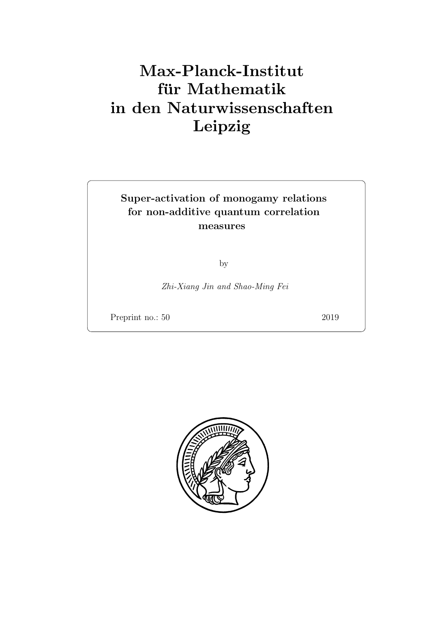# Max-Planck-Institut für Mathematik in den Naturwissenschaften Leipzig

## Super-activation of monogamy relations for non-additive quantum correlation measures

by

Zhi-Xiang Jin and Shao-Ming Fei

Preprint no.: 50 2019

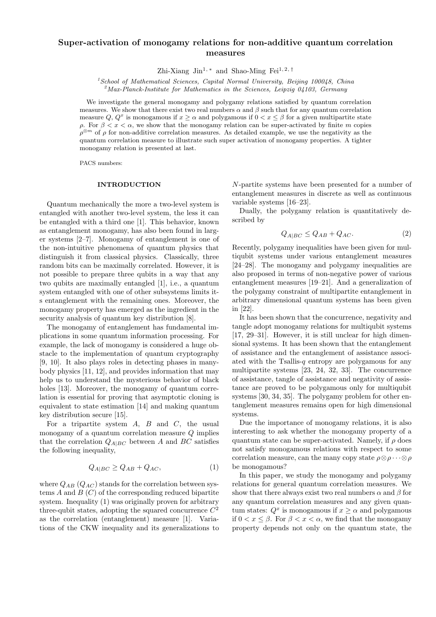### Super-activation of monogamy relations for non-additive quantum correlation measures

Zhi-Xiang Jin<sup>1,\*</sup> and Shao-Ming Fei<sup>1,2,†</sup>

 $1$ School of Mathematical Sciences, Capital Normal University, Beijing 100048, China

 $2^2$ Max-Planck-Institute for Mathematics in the Sciences, Leipzig 04103, Germany

We investigate the general monogamy and polygamy relations satisfied by quantum correlation measures. We show that there exist two real numbers  $\alpha$  and  $\beta$  such that for any quantum correlation measure Q,  $Q^x$  is monogamous if  $x \ge \alpha$  and polygamous if  $0 < x \le \beta$  for a given multipartite state ρ. For β < x < α, we show that the monogamy relation can be super-activated by finite m copies  $\rho^{\otimes m}$  of  $\rho$  for non-additive correlation measures. As detailed example, we use the negativity as the quantum correlation measure to illustrate such super activation of monogamy properties. A tighter monogamy relation is presented at last.

PACS numbers:

#### INTRODUCTION

Quantum mechanically the more a two-level system is entangled with another two-level system, the less it can be entangled with a third one [1]. This behavior, known as entanglement monogamy, has also been found in larger systems [2–7]. Monogamy of entanglement is one of the non-intuitive phenomena of quantum physics that distinguish it from classical physics. Classically, three random bits can be maximally correlated. However, it is not possible to prepare three qubits in a way that any two qubits are maximally entangled [1], i.e., a quantum system entangled with one of other subsystems limits its entanglement with the remaining ones. Moreover, the monogamy property has emerged as the ingredient in the security analysis of quantum key distribution [8].

The monogamy of entanglement has fundamental implications in some quantum information processing. For example, the lack of monogamy is considered a huge obstacle to the implementation of quantum cryptography [9, 10]. It also plays roles in detecting phases in manybody physics [11, 12], and provides information that may help us to understand the mysterious behavior of black holes [13]. Moreover, the monogamy of quantum correlation is essential for proving that asymptotic cloning is equivalent to state estimation [14] and making quantum key distribution secure [15].

For a tripartite system  $A$ ,  $B$  and  $C$ , the usual monogamy of a quantum correlation measure Q implies that the correlation  $Q_{A|BC}$  between A and BC satisfies the following inequality,

$$
Q_{A|BC} \ge Q_{AB} + Q_{AC},\tag{1}
$$

where  $Q_{AB}$  ( $Q_{AC}$ ) stands for the correlation between systems  $A$  and  $B(C)$  of the corresponding reduced bipartite system. Inequality (1) was originally proven for arbitrary three-qubit states, adopting the squared concurrence  $C^2$ as the correlation (entanglement) measure [1]. Variations of the CKW inequality and its generalizations to

N-partite systems have been presented for a number of entanglement measures in discrete as well as continuous variable systems [16–23].

Dually, the polygamy relation is quantitatively described by

$$
Q_{A|BC} \le Q_{AB} + Q_{AC}.\tag{2}
$$

Recently, polygamy inequalities have been given for multiqubit systems under various entanglement measures [24–28]. The monogamy and polygamy inequalities are also proposed in terms of non-negative power of various entanglement measures [19–21]. And a generalization of the polygamy constraint of multipartite entanglement in arbitrary dimensional quantum systems has been given in [22].

It has been shown that the concurrence, negativity and tangle adopt monogamy relations for multiqubit systems [17, 29–31]. However, it is still unclear for high dimensional systems. It has been shown that the entanglement of assistance and the entanglement of assistance associated with the Tsallis-q entropy are polygamous for any multipartite systems [23, 24, 32, 33]. The concurrence of assistance, tangle of assistance and negativity of assistance are proved to be polygamous only for multiqubit systems [30, 34, 35]. The polygamy problem for other entanglement measures remains open for high dimensional systems.

Due the importance of monogamy relations, it is also interesting to ask whether the monogamy property of a quantum state can be super-activated. Namely, if  $\rho$  does not satisfy monogamous relations with respect to some correlation measure, can the many copy state  $\rho \otimes \rho \cdots \otimes \rho$ be monogamous?

In this paper, we study the monogamy and polygamy relations for general quantum correlation measures. We show that there always exist two real numbers  $\alpha$  and  $\beta$  for any quantum correlation measures and any given quantum states:  $Q^x$  is monogamous if  $x \ge \alpha$  and polygamous if  $0 < x \leq \beta$ . For  $\beta < x < \alpha$ , we find that the monogamy property depends not only on the quantum state, the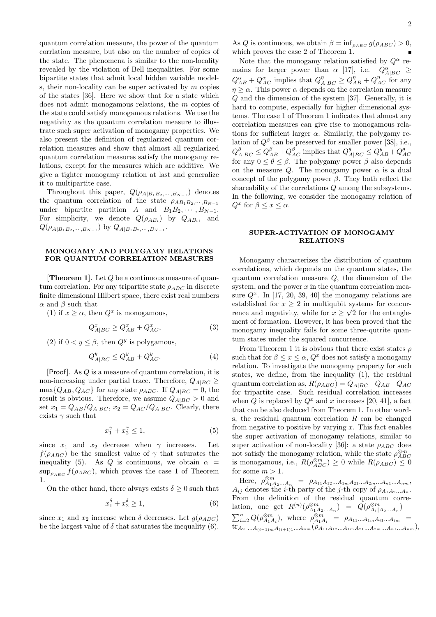quantum correlation measure, the power of the quantum corrlation measure, but also on the number of copies of the state. The phenomena is similar to the non-locality revealed by the violation of Bell inequalities. For some bipartite states that admit local hidden variable models, their non-locality can be super activated by  $m$  copies of the states [36]. Here we show that for a state which does not admit monogamous relations, the m copies of the state could satisfy monogamous relations. We use the negativity as the quantum correlation measure to illustrate such super activation of monogamy properties. We also present the definition of regularized quantum correlation measures and show that almost all regularized quantum correlation measures satisfy the monogamy relations, except for the measures which are additive. We give a tighter monogamy relation at last and generalize it to multipartite case.

Throughout this paper,  $Q(\rho_{A|B_1B_2,\cdots,B_{N-1}})$  denotes the quantum correlation of the state  $\rho_{AB_1B_2,\dots,B_{N-1}}$ under bipartite partition A and  $B_1B_2, \cdots, B_{N-1}$ . For simplicity, we denote  $Q(\rho_{AB_i})$  by  $Q_{AB_i}$ , and  $Q(\rho_{A|B_1B_2,\cdots,B_{N-1}})$  by  $Q_{A|B_1B_2,\cdots,B_{N-1}}$ .

#### MONOGAMY AND POLYGAMY RELATIONS FOR QUANTUM CORRELATION MEASURES

**[Theorem 1].** Let  $Q$  be a continuous measure of quantum correlation. For any tripartite state  $\rho_{ABC}$  in discrete finite dimensional Hilbert space, there exist real numbers  $\alpha$  and  $\beta$  such that

(1) if  $x \ge \alpha$ , then  $Q^x$  is monogamous,

$$
Q_{A|BC}^x \ge Q_{AB}^x + Q_{AC}^x,\tag{3}
$$

(2) if  $0 < y \leq \beta$ , then  $Q^y$  is polygamous,

$$
Q_{A|BC}^y \le Q_{AB}^y + Q_{AC}^y. \tag{4}
$$

[Proof]. As Q is a measure of quantum correlation, it is non-increasing under partial trace. Therefore,  $Q_{A|BC} \geq$  $\max\{Q_{AB}, Q_{AC}\}\$ for any state  $\rho_{ABC}$ . If  $Q_{A|BC} = 0$ , the result is obvious. Therefore, we assume  $Q_{A|BC} > 0$  and set  $x_1 = Q_{AB}/Q_{A|BC}$ ,  $x_2 = Q_{AC}/Q_{A|BC}$ . Clearly, there exists  $\gamma$  such that

$$
x_1^{\gamma} + x_2^{\gamma} \le 1,\tag{5}
$$

since  $x_1$  and  $x_2$  decrease when  $\gamma$  increases. Let  $f(\rho_{ABC})$  be the smallest value of  $\gamma$  that saturates the inequality (5). As Q is continuous, we obtain  $\alpha =$  $\sup_{\rho_{ABC}} f(\rho_{ABC})$ , which proves the case 1 of Theorem 1.

On the other hand, there always exists  $\delta \geq 0$  such that

$$
x_1^{\delta} + x_2^{\delta} \ge 1,\tag{6}
$$

since  $x_1$  and  $x_2$  increase when  $\delta$  decreases. Let  $g(\rho_{ABC})$ be the largest value of  $\delta$  that saturates the inequality (6). As Q is continuous, we obtain  $\beta = \inf_{\rho_{ABC}} g(\rho_{ABC}) > 0$ , which proves the case 2 of Theorem 1.

Note that the monogamy relation satisfied by  $Q^{\alpha}$  remains for larger power than  $\alpha$  [17], i.e.  $Q^{\alpha}_{A|BC} \geq$  $Q_{AB}^{\alpha} + Q_{AC}^{\alpha}$  implies that  $Q_{A|BC}^{\eta} \ge Q_{AB}^{\eta} + Q_{AC}^{\eta}$  for any  $\eta \geq \alpha$ . This power  $\alpha$  depends on the correlation measure Q and the dimension of the system [37]. Generally, it is hard to compute, especially for higher dimensional systems. The case 1 of Theorem 1 indicates that almost any correlation measures can give rise to monogamous relations for sufficient larger  $\alpha$ . Similarly, the polygamy relation of  $Q^{\beta}$  can be preserved for smaller power [38], i.e.,  $Q_{A|BC}^{\beta} \leq Q_{AB}^{\beta} + Q_{AC}^{\beta}$  implies that  $Q_{A|BC}^{\theta} \leq Q_{AB}^{\theta} + Q_{AC}^{\theta}$ for any  $0 \le \theta \le \beta$ . The polygamy power  $\beta$  also depends on the measure Q. The monogamy power  $\alpha$  is a dual concept of the polygamy power  $\beta$ . They both reflect the shareability of the correlations  $Q$  among the subsystems. In the following, we consider the monogamy relation of  $Q^x$  for  $\beta \leq x \leq \alpha$ .

#### SUPER-ACTIVATION OF MONOGAMY RELATIONS

Monogamy characterizes the distribution of quantum correlations, which depends on the quantum states, the quantum correlation measure  $Q$ , the dimension of the system, and the power  $x$  in the quantum correlation measure  $Q^x$ . In [17, 20, 39, 40] the monogamy relations are established for  $x \geq 2$  in multiqubit systems for concurrence and negativity, while for  $x \geq \sqrt{2}$  for the entanglement of formation. However, it has been proved that the monogamy inequality fails for some three-qutrite quantum states under the squared concurrence.

From Theorem 1 it is obvious that there exist states  $\rho$ such that for  $\beta \leq x \leq \alpha$ ,  $Q^x$  does not satisfy a monogamy relation. To investigate the monogamy property for such states, we define, from the inequality (1), the residual quantum correlation as,  $R(\rho_{ABC}) = Q_{A|BC} - Q_{AB} - Q_{AC}$ for tripartite case. Such residual correlation increases when Q is replaced by  $Q^x$  and x increases [20, 41], a fact that can be also deduced from Theorem 1. In other words, the residual quantum correlation  $R$  can be changed from negative to positive by varying  $x$ . This fact enables the super activation of monogamy relations, similar to super activation of non-locality [36]: a state  $\rho_{ABC}$  does not satisfy the monogamy relation, while the state  $\rho_{ABC}^{\otimes m}$ is monogamous, i.e.,  $R(\rho_{ABC}^{\otimes m}) \geq 0$  while  $R(\rho_{ABC}) \leq 0$ for some  $m > 1$ .

Here,  $\rho_{A_1A_2...A_n}^{\otimes m} = \rho_{A_{11}A_{12}...A_{1m}A_{21}...A_{2m}...A_{n1}...A_{nn}}$  $A_{ij}$  denotes the *i*-th party of the *j*-th copy of  $\rho_{A_1A_2...A_n}$ . From the definition of the residual quantum correlation, one get  $R^{(n)}(\rho_{A_1A_2...A_n}^{\otimes m}) = Q(\rho_{A_1|A_2...A_n}^{\otimes m})$  - $\sum_{i=2}^{n} Q(\rho_{A_1A_i}^{\otimes m})$ , where  $\rho_{A_1A_i}^{\otimes m} = \rho_{A_11...A_{1m}A_{i1}...A_{im}}$  ${\rm tr}_{A_{21}...A_{(i-1)m}A_{(i+1)1}...A_{nm}}(\rho_{A_{11}A_{12}...A_{1m}A_{21}...A_{2m}...A_{n1}...A_{nm}})$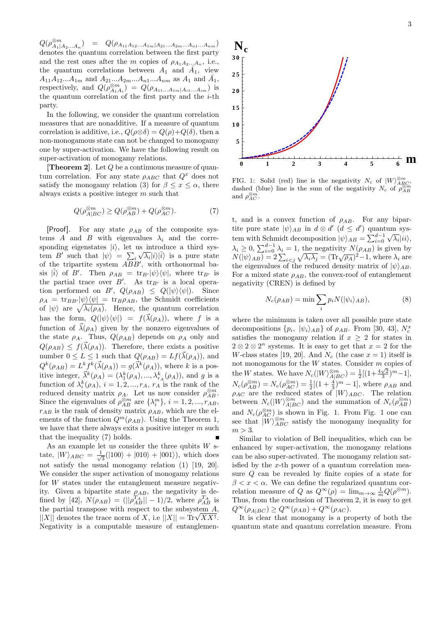$Q(\rho_{A_1|A_2...A_n}^{\otimes m}) = Q(\rho_{A_{11}A_{12}...A_{1m}|A_{21}...A_{2m}...A_{n1}...A_{nm}})$ denotes the quantum correlation between the first party and the rest ones after the m copies of  $\rho_{A_1A_2...A_n}$ , i.e., the quantum correlations between  $A_1$  and  $\overline{A}_1$ , view  $A_{11}A_{12}...A_{1m}$  and  $A_{21}...A_{2m}...A_{n1}...A_{nm}$  as  $A_1$  and  $\bar{A_1}$ , respectively, and  $Q(\rho_{A_1A_i}^{\otimes m}) = Q(\rho_{A_{11}...A_{1m}|A_{i1}...A_{im}})$  is the quantum correlation of the first party and the  $i$ -th party.

In the following, we consider the quantum correlation measures that are nonadditive. If a measure of quantum correlation is additive, i.e.,  $Q(\rho \otimes \delta) = Q(\rho) + Q(\delta)$ , then a non-monogamous state can not be changed to monogamy one by super-activation. We have the following result on super-activation of monogamy relations.

**[Theorem 2]**. Let  $Q$  be a continuous measure of quantum correlation. For any state  $\rho_{ABC}$  that  $Q^x$  does not satisfy the monogamy relation (3) for  $\beta \leq x \leq \alpha$ , there always exists a positive integer m such that

$$
Q(\rho_{A|BC}^{\otimes m}) \ge Q(\rho_{AB}^{\otimes m}) + Q(\rho_{AC}^{\otimes m}). \tag{7}
$$

[Proof]. For any state  $\rho_{AB}$  of the composite systems A and B with eigenvalues  $\lambda_i$  and the corresponding eigenstates  $|i\rangle$ , let us introduce a third system B' such that  $|\psi\rangle = \sum_i \sqrt{\lambda_i} |i\rangle |\hat{i}\rangle$  is a pure state of the tripartite system  $ABB'$ , with orthonormal basis  $|\hat{i}\rangle$  of B'. Then  $\rho_{AB} = \text{tr}_{B'}|\psi\rangle\langle\psi|$ , where  $\text{tr}_{B'}$  is the partial trace over  $B'$ . As  $\text{tr}_{B'}$  is a local operation performed on B',  $Q(\rho_{AB}) \leq Q(|\psi\rangle \langle \psi|)$ . Since  $\rho_A = \text{tr}_{BB'}|\psi\rangle\langle\psi| = \text{tr}_{B}\rho_{AB}$ , the Schmidt coefficients of  $|\psi\rangle$  are  $\sqrt{\lambda_i(\rho_A)}$ . Hence, the quantum correlation has the form,  $Q(|\psi\rangle\langle\psi|) = f(\vec{\lambda}(\rho_A))$ , where f is a function of  $\vec{\lambda}(\rho_A)$  given by the nonzero eigenvalues of the state  $\rho_A$ . Thus,  $Q(\rho_{AB})$  depends on  $\rho_A$  only and  $Q(\rho_{AB}) \leq f(\vec{\lambda}(\rho_A)).$  Therefore, there exists a positive number  $0 \le L \le 1$  such that  $Q(\rho_{AB}) = Lf(\vec{\lambda}(\rho_A))$ , and  $Q^k(\rho_{AB}) = L^k f^k(\vec{\lambda}(\rho_A)) = g(\vec{\lambda}^k(\rho_A)),$  where k is a positive integer,  $\vec{\lambda}^k(\rho_A) = (\lambda_1^k(\rho_A), ..., \lambda_{r_A}^k(\rho_A)),$  and g is a function of  $\lambda_i^k(\rho_A)$ ,  $i = 1, 2, ..., r_A$ ,  $r_A$  is the rank of the reduced density matrix  $\rho_A$ . Let us now consider  $\rho_{AB}^{\otimes m}$ . Since the eigenvalues of  $\rho_{AB}^{\otimes m}$  are  $\{\lambda_i^m\}, i = 1, 2, ..., r_{AB}$ ,  $r_{AB}$  is the rank of density matrix  $\rho_{AB}$ , which are the elements of the function  $Q^m(\rho_{AB})$ . Using the Theorem 1, we have that there always exits a positive integer  $m$  such that the inequality (7) holds.

As an example let us consider the three qubits  $W$  state,  $|W\rangle_{ABC} = \frac{1}{\sqrt{2}}$  $\frac{1}{3}(|100\rangle + |010\rangle + |001\rangle)$ , which does not satisfy the usual monogamy relation (1) [19, 20]. We consider the super activation of monogamy relations for W states under the entanglement measure negativity. Given a bipartite state  $\rho_{AB}$ , the negativity is defined by [42],  $N(\rho_{AB}) = (||\rho_{AB}^{T_A}|| - 1)/2$ , where  $\rho_{AB}^{T_A}$  is the partial transpose with respect to the subsystem  $A$ , the partial transpose with respect to the subsystem  $\frac{A}{|X|}$ ,<br> $\left| |X| \right|$  denotes the trace norm of X, i.e  $\left| |X| \right| = \text{Tr} \sqrt{XX^{\dagger}}$ . Negativity is a computable measure of entanglemen-



FIG. 1: Solid (red) line is the negativity  $N_c$  of  $|W\rangle_{ABC}^{\otimes m}$ , dashed (blue) line is the sum of the negativity  $N_c$  of  $\rho_{AB}^{\otimes m}$ and  $\rho_{AC}^{\otimes m}$ .

t, and is a convex function of  $\rho_{AB}$ . For any bipartite pure state  $|\psi\rangle_{AB}$  in  $d \otimes d'$   $(d \leq d')$  quantum system with Schmidt decomposition  $|\psi\rangle_{AB} = \sum_{i=0}^{d-1} \sqrt{\lambda_i} |ii\rangle$ , ightharpoont  $|\psi_{AB} - \psi_{i}| \omega_{i}$ ,<br>  $\lambda_i \geq 0$ ,  $\sum_{i=0}^{d-1} \lambda_i = 1$ , the negativity  $N(\rho_{AB})$  is given by  $N(|\psi\rangle_{AB}) = 2\sum_{i \leq j} \sqrt{\lambda_i \lambda_j} = (\text{Tr}\sqrt{\rho_A})^2 - 1$ , where  $\lambda_i$  are the eigenvalues of the reduced density matrix of  $|\psi\rangle_{AB}$ . For a mixed state  $\rho_{AB}$ , the convex-roof of entanglement negativity (CREN) is defined by

$$
N_c(\rho_{AB}) = \min \sum_i p_i N(|\psi_i\rangle_{AB}),\tag{8}
$$

where the minimum is taken over all possible pure state decompositions  $\{p_i, \, |\psi_i\rangle_{AB}\}$  of  $\rho_{AB}$ . From [30, 43],  $N_c^x$ satisfies the monogamy relation if  $x \geq 2$  for states in  $2 \otimes 2 \otimes 2^n$  systems. It is easy to get that  $x = 2$  for the W-class states [19, 20]. And  $N_c$  (the case  $x = 1$ ) itself is not monogamous for the W states. Consider m copies of the W states. We have  $N_c(|W\rangle_{A|BC}^{\otimes m}) = \frac{1}{2}[(1+\frac{4\sqrt{2}}{3})^m-1],$  $N_c(\rho_{AB}^{\otimes m}) = N_c(\rho_{AC}^{\otimes m}) = \frac{1}{2}[(1 + \frac{4}{3})^m - 1]$ , where  $\rho_{AB}$  and  $\rho_{AC}$  are the reduced states of  $|W\rangle_{ABC}$ . The relation between  $N_c(|W\rangle_{A|BC}^{\otimes m})$  and the summation of  $N_c(\rho_{AB}^{\otimes m})$ and  $N_c(\rho_{AC}^{\otimes m})$  is shown in Fig. 1. From Fig. 1 one can see that  $|W\rangle_{ABC}^{\otimes m}$  satisfy the monogamy inequality for  $m > 3$ .

Similar to violation of Bell inequalities, which can be enhanced by super-activation, the monogamy relations can be also super-activated. The monogamy relation satisfied by the x-th power of a quantum correlation measure Q can be revealed by finite copies of a state for  $\beta < x < \alpha$ . We can define the regularized quantum correlation measure of Q as  $Q^{\infty}(\rho) = \lim_{m \to \infty} \frac{1}{m} Q(\rho^{\otimes m})$ . Thus, from the conclusion of Theorem 2, it is easy to get  $Q^{\infty}(\rho_{A|BC}) \geq Q^{\infty}(\rho_{AB}) + Q^{\infty}(\rho_{AC}).$ 

It is clear that monogamy is a property of both the quantum state and quantum correlation measure. From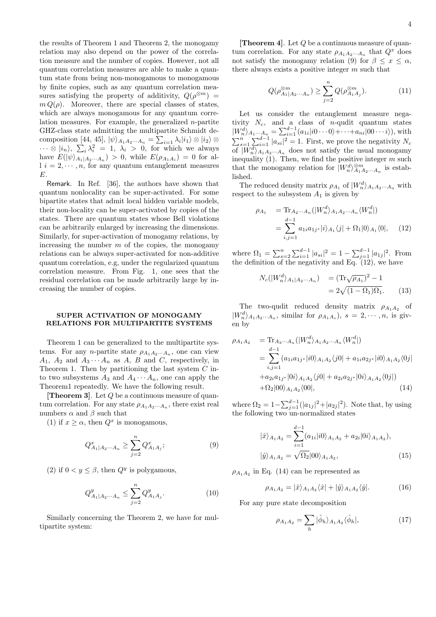the results of Theorem 1 and Theorem 2, the monogamy relation may also depend on the power of the correlation measure and the number of copies. However, not all quantum correlation measures are able to make a quantum state from being non-monogamous to monogamous by finite copies, such as any quantum correlation measures satisfying the property of additivity,  $Q(\rho^{\otimes m})$  =  $m Q(\rho)$ . Moreover, there are special classes of states, which are always monogamous for any quantum correlation measures. For example, the generalized  $n$ -partite GHZ-class state admitting the multipartite Schmidt decomposition [44, 45],  $|\psi\rangle_{A_1A_2\cdots A_n} = \sum_{i=1} \lambda_i |i_1\rangle \otimes |i_2\rangle \otimes$  $\cdots \otimes |i_n\rangle, \sum_i \lambda_i^2 = 1, \lambda_i > 0$ , for which we always have  $E(|\psi\rangle_{A_1|A_2\cdots A_n}) > 0$ , while  $E(\rho_{A_1A_i}) = 0$  for al $l \ i = 2, \cdots, n$ , for any quantum entanglement measures  $E_{\cdot}$ 

Remark. In Ref. [36], the authors have shown that quantum nonlocality can be super-activated. For some bipartite states that admit local hidden variable models, their non-locality can be super-activated by copies of the states. There are quantum states whose Bell violations can be arbitrarily enlarged by increasing the dimensions. Similarly, for super-activation of monogamy relations, by increasing the number  $m$  of the copies, the monogamy relations can be always super-activated for non-additive quantum correlation, e.g, under the regularized quantum correlation measure. From Fig. 1, one sees that the residual correlation can be made arbitrarily large by increasing the number of copies.

#### SUPER ACTIVATION OF MONOGAMY RELATIONS FOR MULTIPARTITE SYSTEMS

Theorem 1 can be generalized to the multipartite systems. For any *n*-partite state  $\rho_{A_1A_2\cdots A_n}$ , one can view  $A_1$ ,  $A_2$  and  $A_3 \cdots A_n$  as A, B and C, respectively, in Theorem 1. Then by partitioning the last system  $C$  into two subsystems  $A_3$  and  $A_4 \cdots A_n$ , one can apply the Theorem1 repeatedly. We have the following result.

**[Theorem 3].** Let  $Q$  be a continuous measure of quantum correlation. For any state  $\rho_{A_1A_2\cdots A_n}$ , there exist real numbers  $\alpha$  and  $\beta$  such that

(1) if  $x \ge \alpha$ , then  $Q^x$  is monogamous,

$$
Q_{A_1|A_2\cdots A_n}^x \ge \sum_{j=2}^n Q_{A_1A_j}^x; \tag{9}
$$

(2) if  $0 < y \leq \beta$ , then  $Q^y$  is polygamous,

$$
Q_{A_1|A_2\cdots A_n}^y \le \sum_{j=2}^n Q_{A_1A_j}^y. \tag{10}
$$

Similarly concerning the Theorem 2, we have for multipartite system:

**[Theorem 4].** Let  $Q$  be a continuous measure of quantum correlation. For any state  $\rho_{A_1 A_2 \cdots A_n}$  that  $Q^x$  does not satisfy the monogamy relation (9) for  $\beta \leq x \leq \alpha$ , there always exists a positive integer  $m$  such that

$$
Q(\rho_{A_1|A_2...A_n}^{\otimes m}) \ge \sum_{j=2}^n Q(\rho_{A_1A_j}^{\otimes m}).
$$
 (11)

Let us consider the entanglement measure negativity  $N_c$ , and a class of *n*-qudit quantum states  $|W_n^d\rangle_{A_1\cdots A_n} = \sum_{i=1}^{d-1} (a_{1i}|i0\cdots 0\rangle + \cdots + a_{ni}|00\cdots i\rangle),$  with  $\sum_{s=1}^{n} \sum_{i=1}^{d-1} |a_{si}|^2 = 1$ . First, we prove the negativity  $N_c$ of  $|W_n^d\rangle_{A_1A_2\cdots A_n}$  does not satisfy the usual monogamy inequality  $(1)$ . Then, we find the positive integer m such that the monogamy relation for  $|W_n^d\rangle_{A_1A_2...A_n}^{\otimes m}$  is established.

The reduced density matrix  $\rho_{A_1}$  of  $|W_n^d\rangle_{A_1A_2\cdots A_n}$  with respect to the subsystem  $A_1$  is given by

$$
\rho_{A_1} = \text{Tr}_{A_2 \cdots A_n}(|W_n^d\rangle_{A_1 A_2 \cdots A_n} \langle W_n^d|)
$$
  
= 
$$
\sum_{i,j=1}^{d-1} a_{1i} a_{1j^*} |i\rangle_{A_1} \langle j| + \Omega_1 |0\rangle_{A_1} \langle 0|,
$$
 (12)

where  $\Omega_1 = \sum_{s=2}^n \sum_{i=1}^{d-1} |a_{si}|^2 = 1 - \sum_{j=1}^{d-1} |a_{1j}|^2$ . From the definition of the negativity and Eq.  $(12)$ , we have

$$
N_c(|W_n^d\rangle_{A_1|A_2\cdots A_n}) = (\text{Tr}\sqrt{\rho_{A_1}})^2 - 1
$$
  
=  $2\sqrt{(1 - \Omega_1)\Omega_1}$ . (13)

The two-qudit reduced density matrix  $\rho_{A_1A_2}$  of  $|W_n^d\rangle_{A_1A_2\cdots A_n}$ , similar for  $\rho_{A_1A_s}$ ,  $s = 2, \cdots, n$ , is given by

$$
\rho_{A_1 A_2} = \text{Tr}_{A_3 \cdots A_n}(|W_n^d\rangle_{A_1 A_2 \cdots A_n} \langle W_n^d|)
$$
  
= 
$$
\sum_{i,j=1}^{d-1} (a_{1i} a_{1j^*} |i0\rangle_{A_1 A_2} \langle j0| + a_{1i} a_{2j^*} |i0\rangle_{A_1 A_2} \langle 0j| + a_{2i} a_{1j^*} |0i\rangle_{A_1 A_2} \langle 0j| + a_{2i} a_{1j^*} |0i\rangle_{A_1 A_2} \langle 00|, \qquad (14)
$$

where  $\Omega_2 = 1 - \sum_{j=1}^{d-1} (|a_{1j}|^2 + |a_{2j}|^2)$ . Note that, by using the following two un-normalized states

$$
|\hat{x}\rangle_{A_1A_2} = \sum_{i=1}^{d-1} (a_{1i}|i0\rangle_{A_1A_2} + a_{2i}|0i\rangle_{A_1A_2}),
$$
  

$$
|\hat{y}\rangle_{A_1A_2} = \sqrt{\Omega_2}|00\rangle_{A_1A_2},
$$
 (15)

 $\rho_{A_1A_2}$  in Eq. (14) can be represented as

$$
\rho_{A_1 A_2} = |\hat{x}\rangle_{A_1 A_2} \langle \hat{x} | + |\hat{y}\rangle_{A_1 A_2} \langle \hat{y} |.
$$
 (16)

For any pure state decomposition

$$
\rho_{A_1 A_2} = \sum_h |\hat{\phi}_h\rangle_{A_1 A_2} \langle \hat{\phi}_h|,\tag{17}
$$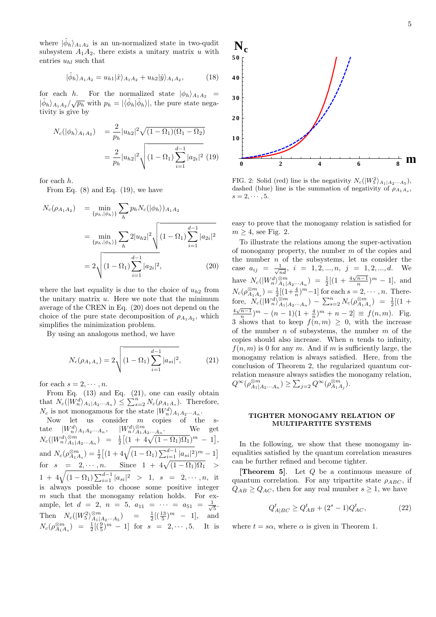where  $|\hat{\phi}_h\rangle_{A_1A_2}$  is an un-normalized state in two-qudit subsystem  $A_1A_2$ , there exists a unitary matrix u with entries  $u_{hl}$  such that

$$
|\hat{\phi}_h\rangle_{A_1A_2} = u_{h1}|\hat{x}\rangle_{A_1A_2} + u_{h2}|\hat{y}\rangle_{A_1A_2},\tag{18}
$$

for each h. For the normalized state  $|\phi_h\rangle_{A_1A_2}$  =  $|\hat{\phi}_h\rangle_{A_1A_2}/\sqrt{p_h}$  with  $p_h = |\langle \hat{\phi}_h | \hat{\phi}_h \rangle|$ , the pure state negativity is give by

$$
N_c(|\phi_h\rangle_{A_1A_2}) = \frac{2}{p_h}|u_{h2}|^2 \sqrt{(1-\Omega_1)(\Omega_1-\Omega_2)}
$$
  
= 
$$
\frac{2}{p_h}|u_{h2}|^2 \sqrt{(1-\Omega_1)\sum_{i=1}^{d-1}|a_{2i}|^2}
$$
 (19)

for each h.

From Eq.  $(8)$  and Eq.  $(19)$ , we have

$$
N_c(\rho_{A_1 A_2}) = \min_{\{p_h, |\phi_h\rangle\}} \sum_h p_h N_c(|\phi_h\rangle)_{A_1 A_2}
$$
  
= 
$$
\min_{\{p_h, |\phi_h\rangle\}} \sum_h 2|u_{h2}|^2 \sqrt{(1 - \Omega_1) \sum_{i=1}^{d-1} |a_{2i}|^2}
$$
  
= 
$$
2 \sqrt{(1 - \Omega_1) \sum_{i=1}^{d-1} |a_{2i}|^2},
$$
 (20)

where the last equality is due to the choice of  $u_{h2}$  from the unitary matrix  $u$ . Here we note that the minimum average of the CREN in Eq. (20) does not depend on the choice of the pure state decomposition of  $\rho_{A_1A_2}$ , which simplifies the minimization problem.

By using an analogous method, we have

$$
N_c(\rho_{A_1 A_s}) = 2\sqrt{(1 - \Omega_1) \sum_{i=1}^{d-1} |a_{si}|^2},
$$
 (21)

for each  $s = 2, \dots, n$ .

From Eq. (13) and Eq. (21), one can easily obtain that  $N_c(|W_n^d\rangle_{A_1|A_2\cdots A_n}) \leq \sum_{s=2}^n N_c(\rho_{A_1A_s})$ . Therefore,  $N_c$  is not monogamous for the state  $|W_n^d\rangle_{A_1A_2\cdots A_n}$ .

Now let us consider m copies of the state  $|W_n^d\rangle_{A_1A_2\cdots A_n}$ ,  $|W_n^d\rangle_{A_1A_2\cdots A_n}^{\otimes m}$ . We get  $N_c(|W_n^d\rangle_{A_1|A_2\cdots A_n}^{\otimes m}) = \frac{1}{2} \big[(1 + 4\sqrt{(1 - \Omega_1)\Omega_1})^m - 1\big],$ and  $N_c(\rho_{A_1A_s}^{\otimes m}) = \frac{1}{2} \left[ (1 + 4\sqrt{(1 - \Omega_1) \sum_{i=1}^{d-1} |a_{si}|^2})^m - 1 \right]$ for  $s = 2, \dots, n$ . Since  $1 + 4\sqrt{(1 - \Omega_1)\Omega_1}$  >  $1 + 4\sqrt{(1 - \Omega_1) \sum_{i=1}^{d-1} |a_{si}|^2} > 1, s = 2, \cdots, n, \text{ it}$ is always possible to choose some positive integer  $m$  such that the monogamy relation holds. For example, let  $d = 2$ ,  $n = 5$ ,  $a_{11} = \cdots = a_{51} = \frac{1}{\sqrt{5}}$ . Then  $N_c(|W_5^2\rangle_{A_1|A_2...A_5}^{^{\infty m}}) = \frac{1}{2}[(\frac{13}{5})^m - 1],$  and  $N_c(\rho_{A_1A_s}^{\otimes m}) = \frac{1}{2}[(\frac{9}{5})^m - 1]$  for  $s = 2, \dots, 5$ . It is



FIG. 2: Solid (red) line is the negativity  $N_c(|W_5^2\rangle_{A_1|A_2\cdots A_5}),$ dashed (blue) line is the summation of negativity of  $\rho_{A_1A_s}$ ,  $s=2,\cdots,5.$ 

easy to prove that the monogamy relation is satisfied for  $m > 4$ , see Fig. 2.

To illustrate the relations among the super-activation of monogamy property, the number  $m$  of the copies and the number  $n$  of the subsystems, let us consider the case  $a_{ij} = \frac{1}{\sqrt{nd}}$ ,  $i = 1, 2, ..., n$ ,  $j = 1, 2, ..., d$ . We have  $N_c(|W_n^d\rangle_{A_1|A_2...A_n}^{n}$  =  $\frac{1}{2}[(1 + \frac{4\sqrt{n-1}}{n})^m - 1]$ , and  $N_c(\rho_{A_1A_s}^{\otimes m}) = \frac{1}{2}[(1+\frac{4}{n})^m-1]$  for each  $s = 2, \dots, n$ . Therefore,  $N_c(|W_n^d\rangle_{A_1|A_2...A_n}^{\otimes m}) - \sum_{s=2}^n N_c(\rho_{A_1A_s}^{\otimes m}) = \frac{1}{2}[(1 +$  $\frac{4\sqrt{n-1}}{n}$  $)^{m}$  –  $(n-1)(1+\frac{4}{n})^{m}$  +  $n-2$ ]  $\equiv f(n,m)$ . Fig. 3 shows that to keep  $f(n, m) \geq 0$ , with the increase of the number  $n$  of subsystems, the number  $m$  of the copies should also increase. When  $n$  tends to infinity,  $f(n, m)$  is 0 for any m. And if m is sufficiently large, the monogamy relation is always satisfied. Here, from the conclusion of Theorem 2, the regularized quantum correlation measure always satisfies the monogamy relation,  $Q^{\infty}(\rho_{A_1|A_2\cdots A_n}^{\otimes m}) \ge \sum_{j=2} Q^{\infty}(\rho_{A_1A_j}^{\otimes m})$ .

#### TIGHTER MONOGAMY RELATION OF MULTIPARTITE SYSTEMS

In the following, we show that these monogamy inequalities satisfied by the quantum correlation measures can be further refined and become tighter.

**Theorem 5.** Let  $Q$  be a continuous measure of quantum correlation. For any tripartite state  $\rho_{ABC}$ , if  $Q_{AB} \geq Q_{AC}$ , then for any real mumber  $s \geq 1$ , we have

$$
Q_{A|BC}^t \ge Q_{AB}^t + (2^s - 1)Q_{AC}^t,\tag{22}
$$

where  $t = s\alpha$ , where  $\alpha$  is given in Theorem 1.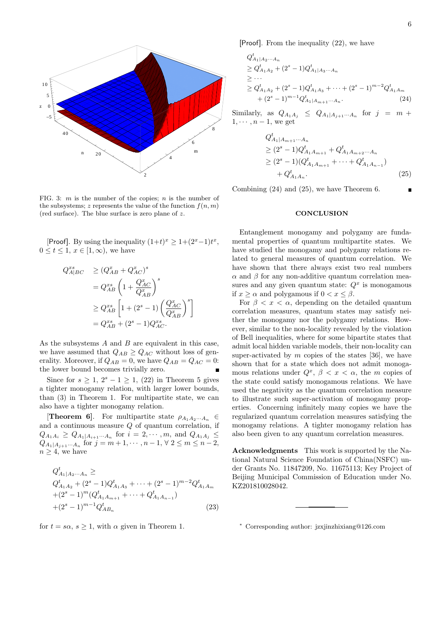

FIG. 3:  $m$  is the number of the copies;  $n$  is the number of the subsystems; z represents the value of the function  $f(n, m)$ (red surface). The blue surface is zero plane of z.

[Proof]. By using the inequality  $(1+t)^x \geq 1+(2^x-1)t^x$ ,  $0 \leq t \leq 1, x \in [1, \infty)$ , we have

$$
Q_{A|BC}^{xs} \ge (Q_{AB}^x + Q_{AC}^x)^s
$$
  
=  $Q_{AB}^{xs} \left(1 + \frac{Q_{AC}^x}{Q_{AB}^x}\right)^s$   
 $\ge Q_{AB}^{xs} \left[1 + (2^s - 1) \left(\frac{Q_{AC}^x}{Q_{AB}^x}\right)^s\right]$   
=  $Q_{AB}^{xs} + (2^s - 1)Q_{AC}^{xs}$ .

As the subsystems  $A$  and  $B$  are equivalent in this case, we have assumed that  $Q_{AB} \geq Q_{AC}$  without loss of generality. Moreover, if  $Q_{AB} = 0$ , we have  $Q_{AB} = Q_{AC} = 0$ : the lower bound becomes trivially zero.

Since for  $s \geq 1$ ,  $2^s - 1 \geq 1$ ,  $(22)$  in Theorem 5 gives a tighter monogamy relation, with larger lower bounds, than (3) in Theorem 1. For multipartite state, we can also have a tighter monogamy relation.

**[Theorem 6].** For multipartite state  $\rho_{A_1A_2\cdots A_n}$  ∈ and a continuous measure  $Q$  of quantum correlation, if  $Q_{A_1A_i} \geq Q_{A_1|A_{i+1}\cdots A_n}$  for  $i = 2, \cdots, m$ , and  $Q_{A_1A_j} \leq$  $Q_{A_1|A_{j+1}\cdots A_n}$  for  $j = m+1, \cdots, n-1, \forall 2 \le m \le n-2$ ,  $n \geq 4$ , we have

$$
Q_{A_1|A_2\cdots A_n}^t \ge
$$
  
\n
$$
Q_{A_1A_2}^t + (2^s - 1)Q_{A_1A_3}^t + \cdots + (2^s - 1)^{m-2}Q_{A_1A_m}^t
$$
  
\n
$$
+ (2^s - 1)^m (Q_{A_1A_{m+1}}^t + \cdots + Q_{A_1A_{n-1}}^t)
$$
  
\n
$$
+ (2^s - 1)^{m-1} Q_{AB_n}^t
$$
\n(23)

for  $t = s\alpha$ ,  $s > 1$ , with  $\alpha$  given in Theorem 1.

[Proof]. From the inequality (22), we have

$$
Q_{A_1|A_2\cdots A_n}^t
$$
  
\n
$$
\geq Q_{A_1A_2}^t + (2^s - 1)Q_{A_1|A_3\cdots A_n}^t
$$
  
\n
$$
\geq \cdots
$$
  
\n
$$
\geq Q_{A_1A_2}^t + (2^s - 1)Q_{A_1A_3}^t + \cdots + (2^s - 1)^{m-2}Q_{A_1A_m}^t
$$
  
\n
$$
+ (2^s - 1)^{m-1}Q_{A_1|A_{m+1}\cdots A_n}^t.
$$
\n(24)

Similarly, as  $Q_{A_1A_j} \leq Q_{A_1|A_{j+1}\cdots A_n}$  for  $j = m +$  $1, \cdots, n-1$ , we get

$$
Q_{A_1|A_{m+1}\cdots A_n}^t
$$
  
\n
$$
\geq (2^s - 1)Q_{A_1A_{m+1}}^t + Q_{A_1A_{m+2}\cdots A_n}^t
$$
  
\n
$$
\geq (2^s - 1)(Q_{A_1A_{m+1}}^t + \cdots + Q_{A_1A_{n-1}}^t)
$$
  
\n
$$
+ Q_{A_1A_n}^t.
$$
\n(25)

Combining (24) and (25), we have Theorem 6.

#### **CONCLUSION**

Entanglement monogamy and polygamy are fundamental properties of quantum multipartite states. We have studied the monogamy and polygamy relations related to general measures of quantum correlation. We have shown that there always exist two real numbers  $\alpha$  and  $\beta$  for any non-additive quantum correlation measures and any given quantum state:  $Q<sup>x</sup>$  is monogamous if  $x > \alpha$  and polygamous if  $0 < x < \beta$ .

For  $\beta < x < \alpha$ , depending on the detailed quantum correlation measures, quantum states may satisfy neither the monogamy nor the polygamy relations. However, similar to the non-locality revealed by the violation of Bell inequalities, where for some bipartite states that admit local hidden variable models, their non-locality can super-activated by  $m$  copies of the states [36], we have shown that for a state which does not admit monogamous relations under  $Q^x$ ,  $\beta < x < \alpha$ , the m copies of the state could satisfy monogamous relations. We have used the negativity as the quantum correlation measure to illustrate such super-activation of monogamy properties. Concerning infinitely many copies we have the regularized quantum correlation measures satisfying the monogamy relations. A tighter monogamy relation has also been given to any quantum correlation measures.

Acknowledgments This work is supported by the National Natural Science Foundation of China(NSFC) under Grants No. 11847209, No. 11675113; Key Project of Beijing Municipal Commission of Education under No. KZ201810028042.

<sup>∗</sup> Corresponding author: jzxjinzhixiang@126.com